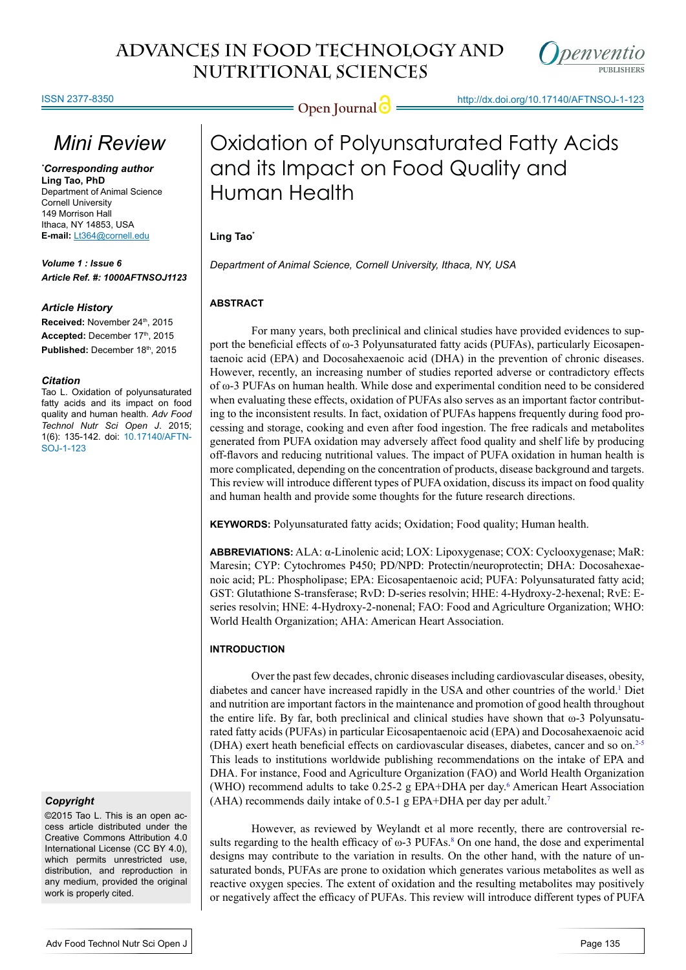#### ISSN 2377-8350

## *Mini Review*

*\* Corresponding author* **Ling Tao, PhD** Department of Animal Science Cornell University 149 Morrison Hall Ithaca, NY 14853, USA **E-mail:** Lt364@cornell.edu

*Volume 1 : Issue 6 Article Ref. #: 1000AFTNSOJ1123*

#### *Article History*

Received: November 24<sup>th</sup>, 2015 Accepted: December 17th, 2015 Published: December 18th, 2015

#### *Citation*

Tao L. Oxidation of polyunsaturated fatty acids and its impact on food quality and human health. *Adv Food Technol Nutr Sci Open J*. 2015; 1(6): 135-142. doi: [10.17140/AFTN-](http://openventio.org/Volume1-Issue6/Oxidation-of-Polyunsaturated-Fatty-Acids-and-its-Impact-on-Food-Quality-and-Human-Health-AFTNSOJ-1-123.pdf)[SOJ-1-123](http://openventio.org/Volume1-Issue6/Oxidation-of-Polyunsaturated-Fatty-Acids-and-its-Impact-on-Food-Quality-and-Human-Health-AFTNSOJ-1-123.pdf)

## *Copyright*

©2015 Tao L. This is an open access article distributed under the Creative Commons Attribution 4.0 International License (CC BY 4.0), which permits unrestricted use, distribution, and reproduction in any medium, provided the original work is properly cited.

**Open Journal @** http://dx.doi.org/10.17140/AFTNSOJ-1-123



# Oxidation of Polyunsaturated Fatty Acids and its Impact on Food Quality and Human Health

## Ling Tao<sup>\*</sup>

*Department of Animal Science, Cornell University, Ithaca, NY, USA* 

## **ABSTRACT**

For many years, both preclinical and clinical studies have provided evidences to support the beneficial effects of ω-3 Polyunsaturated fatty acids (PUFAs), particularly Eicosapentaenoic acid (EPA) and Docosahexaenoic acid (DHA) in the prevention of chronic diseases. However, recently, an increasing number of studies reported adverse or contradictory effects of ω-3 PUFAs on human health. While dose and experimental condition need to be considered when evaluating these effects, oxidation of PUFAs also serves as an important factor contributing to the inconsistent results. In fact, oxidation of PUFAs happens frequently during food processing and storage, cooking and even after food ingestion. The free radicals and metabolites generated from PUFA oxidation may adversely affect food quality and shelf life by producing off-flavors and reducing nutritional values. The impact of PUFA oxidation in human health is more complicated, depending on the concentration of products, disease background and targets. This review will introduce different types of PUFA oxidation, discuss its impact on food quality and human health and provide some thoughts for the future research directions.

**KEYWORDS:** Polyunsaturated fatty acids; Oxidation; Food quality; Human health.

**ABBREVIATIONS:** ALA: α-Linolenic acid; LOX: Lipoxygenase; COX: Cyclooxygenase; MaR: Maresin; CYP: Cytochromes P450; PD/NPD: Protectin/neuroprotectin; DHA: Docosahexaenoic acid; PL: Phospholipase; EPA: Eicosapentaenoic acid; PUFA: Polyunsaturated fatty acid; GST: Glutathione S-transferase; RvD: D-series resolvin; HHE: 4-Hydroxy-2-hexenal; RvE: Eseries resolvin; HNE: 4-Hydroxy-2-nonenal; FAO: Food and Agriculture Organization; WHO: World Health Organization; AHA: American Heart Association.

## **INTRODUCTION**

Over the past few decades, chronic diseases including cardiovascular diseases, obesity, diabetes and cancer have increased rapidly in the USA and other countries of the world.<sup>[1](#page-3-0)</sup> Diet and nutrition are important factors in the maintenance and promotion of good health throughout the entire life. By far, both preclinical and clinical studies have shown that  $\omega$ -3 Polyunsaturated fatty acids (PUFAs) in particular Eicosapentaenoic acid (EPA) and Docosahexaenoic acid (DHA) exert heath beneficial effects on cardiovascular diseases, diabetes, cancer and so on.[2-5](#page-3-1) This leads to institutions worldwide publishing recommendations on the intake of EPA and DHA. For instance, Food and Agriculture Organization (FAO) and World Health Organization (WHO) recommend adults to take 0.25-2 g EPA+DHA per day.<sup>[6](#page-3-2)</sup> American Heart Association (AHA) recommends daily intake of 0.5-1 g EPA+DHA per day per adult.<sup>[7](#page-3-3)</sup>

However, as reviewed by Weylandt et al more recently, there are controversial results regarding to the health efficacy of  $\omega$ -3 PUFAs.<sup>[8](#page-4-0)</sup> On one hand, the dose and experimental designs may contribute to the variation in results. On the other hand, with the nature of unsaturated bonds, PUFAs are prone to oxidation which generates various metabolites as well as reactive oxygen species. The extent of oxidation and the resulting metabolites may positively or negatively affect the efficacy of PUFAs. This review will introduce different types of PUFA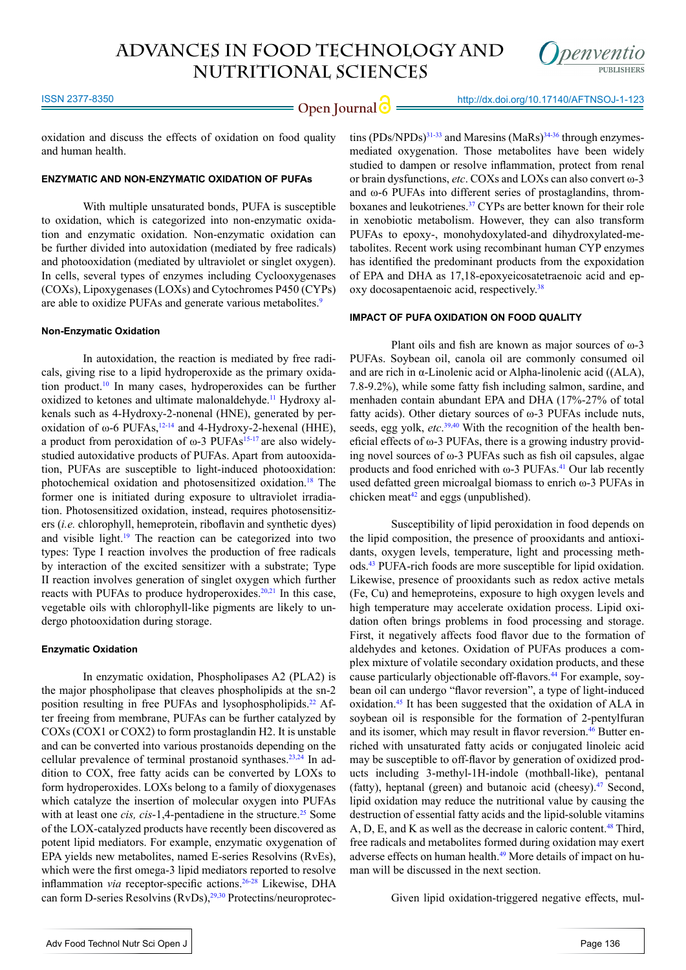

oxidation and discuss the effects of oxidation on food quality and human health.

## **ENZYMATIC AND NON-ENZYMATIC OXIDATION OF PUFAs**

With multiple unsaturated bonds, PUFA is susceptible to oxidation, which is categorized into non-enzymatic oxidation and enzymatic oxidation. Non-enzymatic oxidation can be further divided into autoxidation (mediated by free radicals) and photooxidation (mediated by ultraviolet or singlet oxygen). In cells, several types of enzymes including Cyclooxygenases (COXs), Lipoxygenases (LOXs) and Cytochromes P450 (CYPs) are able to oxidize PUFAs and generate various metabolites.<sup>[9](#page-4-1)</sup>

#### **Non-Enzymatic Oxidation**

In autoxidation, the reaction is mediated by free radicals, giving rise to a lipid hydroperoxide as the primary oxidation product.[10](#page-4-2) In many cases, hydroperoxides can be further oxidized to ketones and ultimate malonaldehyde.[11](#page-4-3) Hydroxy alkenals such as 4-Hydroxy-2-nonenal (HNE), generated by peroxidation of ω-6 PUFAs,  $12-14$  and 4-Hydroxy-2-hexenal (HHE), a product from peroxidation of  $\omega$ -3 PUFAs<sup>15-17</sup> are also widelystudied autoxidative products of PUFAs. Apart from autooxidation, PUFAs are susceptible to light-induced photooxidation: photochemical oxidation and photosensitized oxidation.[18](#page-4-6) The former one is initiated during exposure to ultraviolet irradiation. Photosensitized oxidation, instead, requires photosensitizers (*i.e.* chlorophyll, hemeprotein, riboflavin and synthetic dyes) and visible light.[19](#page-4-7) The reaction can be categorized into two types: Type I reaction involves the production of free radicals by interaction of the excited sensitizer with a substrate; Type II reaction involves generation of singlet oxygen which further reacts with PUFAs to produce hydroperoxides.<sup>20,21</sup> In this case, vegetable oils with chlorophyll-like pigments are likely to undergo photooxidation during storage.

#### **Enzymatic Oxidation**

In enzymatic oxidation, Phospholipases A2 (PLA2) is the major phospholipase that cleaves phospholipids at the sn-2 position resulting in free PUFAs and lysophospholipids.<sup>[22](#page-4-9)</sup> After freeing from membrane, PUFAs can be further catalyzed by COXs (COX1 or COX2) to form prostaglandin H2. It is unstable and can be converted into various prostanoids depending on the cellular prevalence of terminal prostanoid synthases.<sup>23,24</sup> In addition to COX, free fatty acids can be converted by LOXs to form hydroperoxides. LOXs belong to a family of dioxygenases which catalyze the insertion of molecular oxygen into PUFAs with at least one *cis, cis*-1,4-pentadiene in the structure.<sup>25</sup> Some of the LOX-catalyzed products have recently been discovered as potent lipid mediators. For example, enzymatic oxygenation of EPA yields new metabolites, named E-series Resolvins (RvEs), which were the first omega-3 lipid mediators reported to resolve inflammation *via* receptor-specific actions[.26-28](#page-4-12) Likewise, DHA can form D-series Resolvins (RvDs),<sup>29,30</sup> Protectins/neuroprotectins  $(PDs/NPDs)^{31-33}$  and Maresins  $(MaRs)^{34-36}$  through enzymesmediated oxygenation. Those metabolites have been widely studied to dampen or resolve inflammation, protect from renal or brain dysfunctions, *etc*. COXs and LOXs can also convert ω-3 and ω-6 PUFAs into different series of prostaglandins, thromboxanes and leukotrienes.<sup>37</sup> CYPs are better known for their role in xenobiotic metabolism. However, they can also transform PUFAs to epoxy-, monohydoxylated-and dihydroxylated-metabolites. Recent work using recombinant human CYP enzymes has identified the predominant products from the expoxidation of EPA and DHA as 17,18-epoxyeicosatetraenoic acid and ep-oxy docosapentaenoic acid, respectively.<sup>[38](#page-5-3)</sup>

#### **IMPACT OF PUFA OXIDATION ON FOOD QUALITY**

Plant oils and fish are known as major sources of ω-3 PUFAs. Soybean oil, canola oil are commonly consumed oil and are rich in α-Linolenic acid or Alpha-linolenic acid ((ALA), 7.8-9.2%), while some fatty fish including salmon, sardine, and menhaden contain abundant EPA and DHA (17%-27% of total fatty acids). Other dietary sources of ω-3 PUFAs include nuts, seeds, egg yolk, *etc*. [39,40](#page-5-4) With the recognition of the health beneficial effects of ω-3 PUFAs, there is a growing industry providing novel sources of ω-3 PUFAs such as fish oil capsules, algae products and food enriched with  $\omega$ -3 PUFAs.<sup>41</sup> Our lab recently used defatted green microalgal biomass to enrich ω-3 PUFAs in chicken meat $42$  and eggs (unpublished).

Susceptibility of lipid peroxidation in food depends on the lipid composition, the presence of prooxidants and antioxidants, oxygen levels, temperature, light and processing methods[.43](#page-5-7) PUFA-rich foods are more susceptible for lipid oxidation. Likewise, presence of prooxidants such as redox active metals (Fe, Cu) and hemeproteins, exposure to high oxygen levels and high temperature may accelerate oxidation process. Lipid oxidation often brings problems in food processing and storage. First, it negatively affects food flavor due to the formation of aldehydes and ketones. Oxidation of PUFAs produces a complex mixture of volatile secondary oxidation products, and these cause particularly objectionable off-flavors[.44](#page-5-8) For example, soybean oil can undergo "flavor reversion", a type of light-induced oxidation.[45](#page-5-9) It has been suggested that the oxidation of ALA in soybean oil is responsible for the formation of 2-pentylfuran and its isomer, which may result in flavor reversion.<sup>46</sup> Butter enriched with unsaturated fatty acids or conjugated linoleic acid may be susceptible to off-flavor by generation of oxidized products including 3-methyl-1H-indole (mothball-like), pentanal (fatty), heptanal (green) and butanoic acid (cheesy). $47$  Second, lipid oxidation may reduce the nutritional value by causing the destruction of essential fatty acids and the lipid-soluble vitamins A, D, E, and K as well as the decrease in caloric content.<sup>48</sup> Third, free radicals and metabolites formed during oxidation may exert adverse effects on human health.[49](#page-5-13) More details of impact on human will be discussed in the next section.

Given lipid oxidation-triggered negative effects, mul-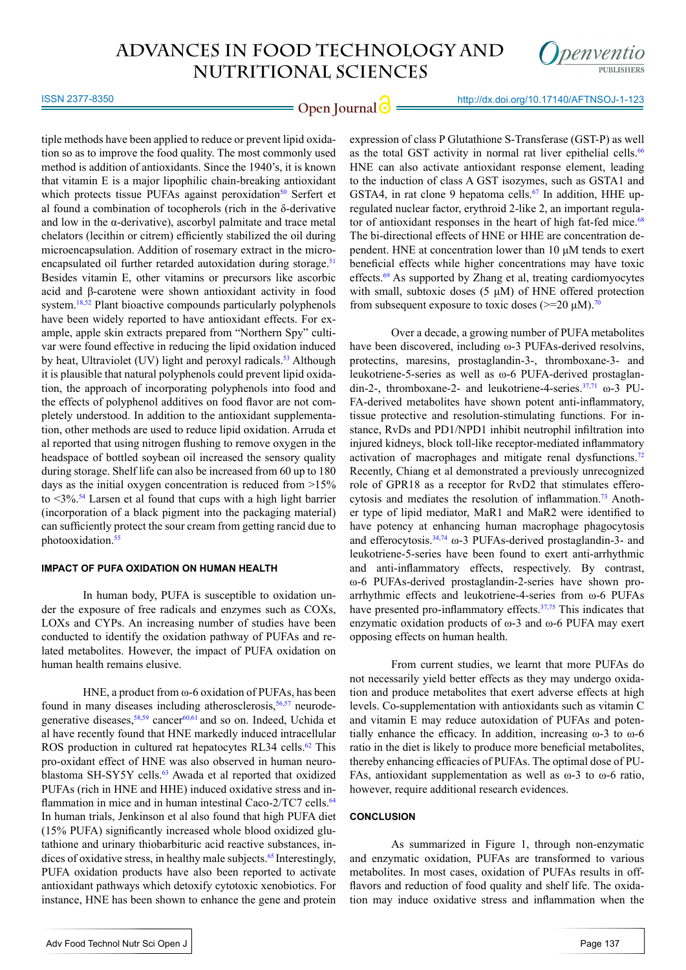

ISSN 2377-8350

**Open Journal**  $\bigcirc$  http://dx.doi.org/10.17140/AFTNSOJ-1-123

tiple methods have been applied to reduce or prevent lipid oxidation so as to improve the food quality. The most commonly used method is addition of antioxidants. Since the 1940's, it is known that vitamin E is a major lipophilic chain-breaking antioxidant which protects tissue PUFAs against peroxidation<sup>50</sup> Serfert et al found a combination of tocopherols (rich in the δ-derivative and low in the  $\alpha$ -derivative), ascorbyl palmitate and trace metal chelators (lecithin or citrem) efficiently stabilized the oil during microencapsulation. Addition of rosemary extract in the micro-encapsulated oil further retarded autoxidation during storage.<sup>[51](#page-5-15)</sup> Besides vitamin E, other vitamins or precursors like ascorbic acid and β-carotene were shown antioxidant activity in food system.<sup>18,[52](#page-5-16)</sup> Plant bioactive compounds particularly polyphenols have been widely reported to have antioxidant effects. For example, apple skin extracts prepared from "Northern Spy" cultivar were found effective in reducing the lipid oxidation induced by heat, Ultraviolet (UV) light and peroxyl radicals.<sup>53</sup> Although it is plausible that natural polyphenols could prevent lipid oxidation, the approach of incorporating polyphenols into food and the effects of polyphenol additives on food flavor are not completely understood. In addition to the antioxidant supplementation, other methods are used to reduce lipid oxidation. Arruda et al reported that using nitrogen flushing to remove oxygen in the headspace of bottled soybean oil increased the sensory quality during storage. Shelf life can also be increased from 60 up to 180 days as the initial oxygen concentration is reduced from >15% to  $\leq$ 3%.<sup>54</sup> Larsen et al found that cups with a high light barrier (incorporation of a black pigment into the packaging material) can sufficiently protect the sour cream from getting rancid due to photooxidation.<sup>55</sup>

#### **IMPACT OF PUFA OXIDATION ON HUMAN HEALTH**

In human body, PUFA is susceptible to oxidation under the exposure of free radicals and enzymes such as COXs, LOXs and CYPs. An increasing number of studies have been conducted to identify the oxidation pathway of PUFAs and related metabolites. However, the impact of PUFA oxidation on human health remains elusive.

HNE, a product from ω-6 oxidation of PUFAs, has been found in many diseases including atherosclerosis,<sup>56,57</sup> neurodegenerative diseases,  $58,59$  cancer $60,61$  and so on. Indeed, Uchida et al have recently found that HNE markedly induced intracellular ROS production in cultured rat hepatocytes RL34 cells.<sup>62</sup> This pro-oxidant effect of HNE was also observed in human neuroblastoma SH-SY5Y cells.<sup>63</sup> Awada et al reported that oxidized PUFAs (rich in HNE and HHE) induced oxidative stress and in-flammation in mice and in human intestinal Caco-2/TC7 cells.<sup>[64](#page-6-8)</sup> In human trials, Jenkinson et al also found that high PUFA diet (15% PUFA) significantly increased whole blood oxidized glutathione and urinary thiobarbituric acid reactive substances, indices of oxidative stress, in healthy male subjects.<sup>65</sup> Interestingly, PUFA oxidation products have also been reported to activate antioxidant pathways which detoxify cytotoxic xenobiotics. For instance, HNE has been shown to enhance the gene and protein

expression of class P Glutathione S-Transferase (GST-P) as well as the total GST activity in normal rat liver epithelial cells.<sup>[66](#page-6-10)</sup> HNE can also activate antioxidant response element, leading to the induction of class A GST isozymes, such as GSTA1 and GSTA4, in rat clone 9 hepatoma cells.<sup>[67](#page-6-11)</sup> In addition, HHE upregulated nuclear factor, erythroid 2-like 2, an important regulator of antioxidant responses in the heart of high fat-fed mice. $68$ The bi-directional effects of HNE or HHE are concentration dependent. HNE at concentration lower than 10 μM tends to exert beneficial effects while higher concentrations may have toxic effects.<sup>[69](#page-6-13)</sup> As supported by Zhang et al, treating cardiomyocytes with small, subtoxic doses (5  $\mu$ M) of HNE offered protection from subsequent exposure to toxic doses ( $>= 20 \mu M$ ).<sup>[70](#page-6-14)</sup>

Over a decade, a growing number of PUFA metabolites have been discovered, including ω-3 PUFAs-derived resolvins, protectins, maresins, prostaglandin-3-, thromboxane-3- and leukotriene-5-series as well as ω-6 PUFA-derived prostaglandin-2-, thromboxane-2- and leukotriene-4-series. $37,71$  $37,71$  ω-3 PU-FA-derived metabolites have shown potent anti-inflammatory, tissue protective and resolution-stimulating functions. For instance, RvDs and PD1/NPD1 inhibit neutrophil infiltration into injured kidneys, block toll-like receptor-mediated inflammatory activation of macrophages and mitigate renal dysfunctions.<sup>72</sup> Recently, Chiang et al demonstrated a previously unrecognized role of GPR18 as a receptor for RvD2 that stimulates efferocytosis and mediates the resolution of inflammation.<sup>73</sup> Another type of lipid mediator, MaR1 and MaR2 were identified to have potency at enhancing human macrophage phagocytosis and efferocytosis. $34,74$  $34,74$  ω-3 PUFAs-derived prostaglandin-3- and leukotriene-5-series have been found to exert anti-arrhythmic and anti-inflammatory effects, respectively. By contrast, ω-6 PUFAs-derived prostaglandin-2-series have shown proarrhythmic effects and leukotriene-4-series from ω-6 PUFAs have presented pro-inflammatory effects.<sup>37[,75](#page-7-1)</sup> This indicates that enzymatic oxidation products of ω-3 and ω-6 PUFA may exert opposing effects on human health.

From current studies, we learnt that more PUFAs do not necessarily yield better effects as they may undergo oxidation and produce metabolites that exert adverse effects at high levels. Co-supplementation with antioxidants such as vitamin C and vitamin E may reduce autoxidation of PUFAs and potentially enhance the efficacy. In addition, increasing  $\omega$ -3 to  $\omega$ -6 ratio in the diet is likely to produce more beneficial metabolites, thereby enhancing efficacies of PUFAs. The optimal dose of PU-FAs, antioxidant supplementation as well as  $\omega$ -3 to  $\omega$ -6 ratio, however, require additional research evidences.

#### **CONCLUSION**

As summarized in Figure 1, through non-enzymatic and enzymatic oxidation, PUFAs are transformed to various metabolites. In most cases, oxidation of PUFAs results in offflavors and reduction of food quality and shelf life. The oxidation may induce oxidative stress and inflammation when the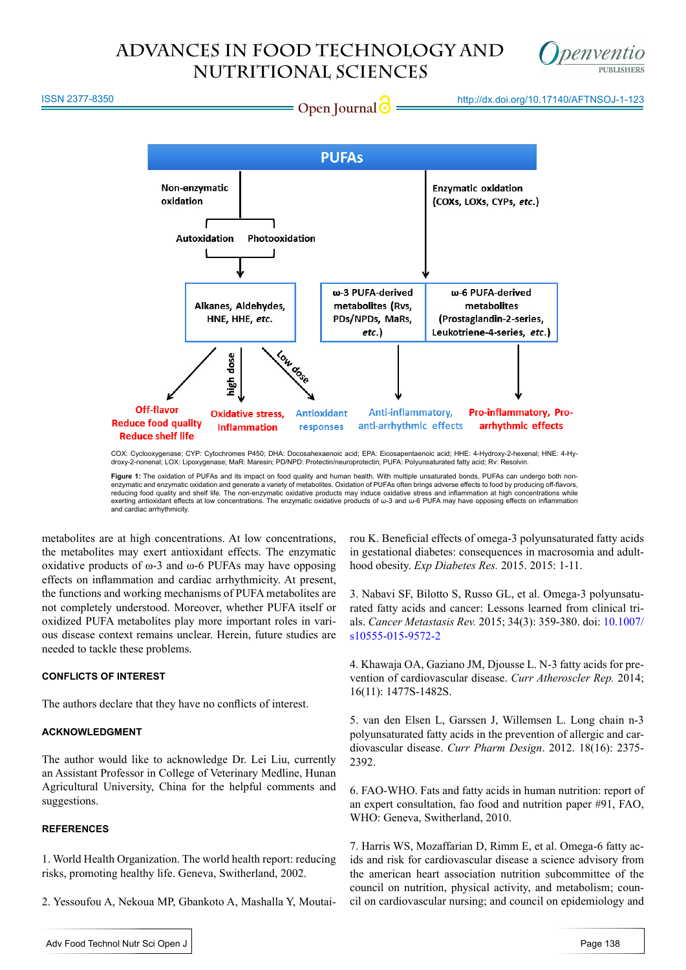

ISSN 2377-8350

**Open Journal @** http://dx.doi.org/10.17140/AFTNSOJ-1-123



COX: Cyclooxygenase; CYP: Cytochromes P450; DHA: Docosahexaenoic acid; EPA: Eicosapentaenoic acid; HHE: 4-Hydroxy-2-hexenal; HNE: 4-Hydroxy-2-nonenal; LOX: Lipoxygenase; MaR: Maresin; PD/NPD: Protectin/neuroprotectin; PUFA: Polyunsaturated fatty acid; Rv: Resolvin.

**Figure 1:** The oxidation of PUFAs and its impact on food quality and human health. With multiple unsaturated bonds, PUFAs can undergo both nonenzymatic and enzymatic oxidation and generate a variety of metabolites. Oxidation of PUFAs often brings adverse effects to food by producing off-flavors, reducing food quality and shelf life. The non-enzymatic oxidative products may induce oxidative stress and inflammation at high concentrations while<br>exerting antioxidant effects at low concentrations. The enzymatic oxidat and cardiac arrhythmicity.

metabolites are at high concentrations. At low concentrations, the metabolites may exert antioxidant effects. The enzymatic oxidative products of  $\omega$ -3 and  $\omega$ -6 PUFAs may have opposing effects on inflammation and cardiac arrhythmicity. At present, the functions and working mechanisms of PUFA metabolites are not completely understood. Moreover, whether PUFA itself or oxidized PUFA metabolites play more important roles in various disease context remains unclear. Herein, future studies are needed to tackle these problems.

## **CONFLICTS OF INTEREST**

The authors declare that they have no conflicts of interest.

## **ACKNOWLEDGMENT**

The author would like to acknowledge Dr. Lei Liu, currently an Assistant Professor in College of Veterinary Medline, Hunan Agricultural University, China for the helpful comments and suggestions.

## **REFERENCES**

<span id="page-3-0"></span>1. World Health Organization. The world health report: reducing risks, promoting healthy life. Geneva, Switherland, 2002.

<span id="page-3-1"></span>2. Yessoufou A, Nekoua MP, Gbankoto A, Mashalla Y, Moutai-

rou K. Beneficial effects of omega-3 polyunsaturated fatty acids in gestational diabetes: consequences in macrosomia and adulthood obesity. *Exp Diabetes Res.* 2015. 2015: 1-11.

3. Nabavi SF, Bilotto S, Russo GL, et al. Omega-3 polyunsaturated fatty acids and cancer: Lessons learned from clinical trials. *Cancer Metastasis Rev.* 2015; 34(3): 359-380. doi: [10.1007/](http://link.springer.com/article/10.1007/s10555-015-9572-2) [s10555-015-9572-2](http://link.springer.com/article/10.1007/s10555-015-9572-2)

4. Khawaja OA, Gaziano JM, Djousse L. N-3 fatty acids for prevention of cardiovascular disease. *Curr Atheroscler Rep.* 2014; 16(11): 1477S-1482S.

5. van den Elsen L, Garssen J, Willemsen L. Long chain n-3 polyunsaturated fatty acids in the prevention of allergic and cardiovascular disease. *Curr Pharm Design*. 2012. 18(16): 2375- 2392.

<span id="page-3-2"></span>6. FAO-WHO. Fats and fatty acids in human nutrition: report of an expert consultation, fao food and nutrition paper #91, FAO, WHO: Geneva, Switherland, 2010.

<span id="page-3-3"></span>7. Harris WS, Mozaffarian D, Rimm E, et al. Omega-6 fatty acids and risk for cardiovascular disease a science advisory from the american heart association nutrition subcommittee of the council on nutrition, physical activity, and metabolism; council on cardiovascular nursing; and council on epidemiology and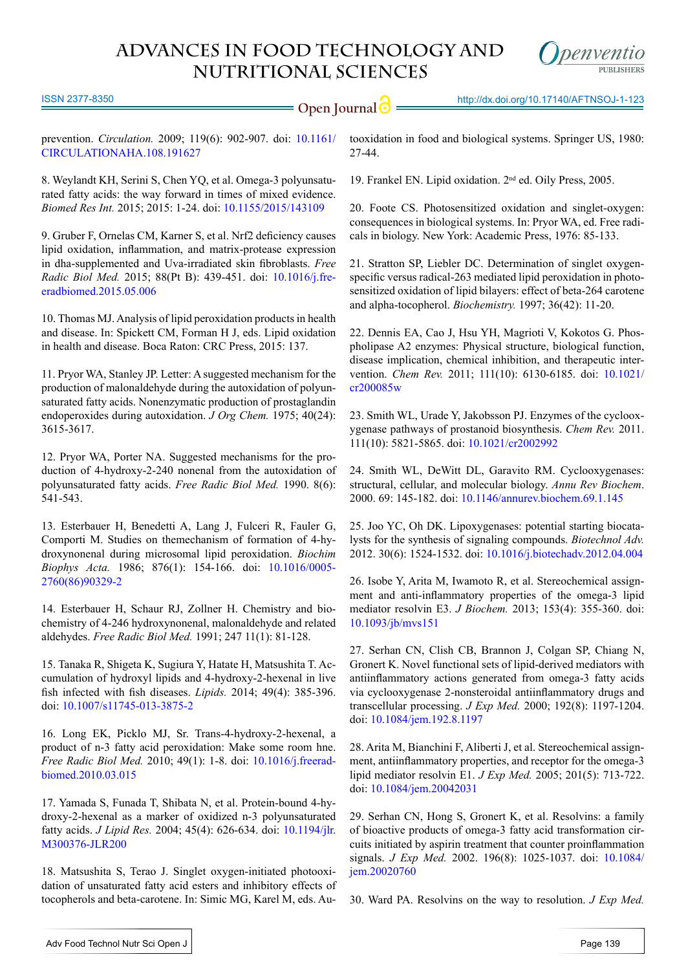

ISSN 2377-8350

**Open Journal**  $\bigcirc$  http://dx.doi.org/10.17140/AFTNSOJ-1-123

prevention. *Circulation.* 2009; 119(6): 902-907. doi: [10.1161/](http://circ.ahajournals.org/content/119/6/902.full) [CIRCULATIONAHA.108.191627](http://circ.ahajournals.org/content/119/6/902.full)

<span id="page-4-0"></span>8. Weylandt KH, Serini S, Chen YQ, et al. Omega-3 polyunsaturated fatty acids: the way forward in times of mixed evidence. *Biomed Res Int.* 2015; 2015: 1-24. doi: [10.1155/2015/143109](http://www.hindawi.com/journals/bmri/2015/143109/)

<span id="page-4-1"></span>9. Gruber F, Ornelas CM, Karner S, et al. Nrf2 deficiency causes lipid oxidation, inflammation, and matrix-protease expression in dha-supplemented and Uva-irradiated skin fibroblasts. *Free Radic Biol Med.* 2015; 88(Pt B): 439-451. doi: [10.1016/j.fre](http://www.ncbi.nlm.nih.gov/pubmed/25981373)[eradbiomed.2015.05.006](http://www.ncbi.nlm.nih.gov/pubmed/25981373)

<span id="page-4-2"></span>10. Thomas MJ. Analysis of lipid peroxidation products in health and disease. In: Spickett CM, Forman H J, eds. Lipid oxidation in health and disease. Boca Raton: CRC Press, 2015: 137.

<span id="page-4-3"></span>11. Pryor WA, Stanley JP. Letter: A suggested mechanism for the production of malonaldehyde during the autoxidation of polyunsaturated fatty acids. Nonenzymatic production of prostaglandin endoperoxides during autoxidation. *J Org Chem.* 1975; 40(24): 3615-3617.

<span id="page-4-4"></span>12. Pryor WA, Porter NA. Suggested mechanisms for the production of 4-hydroxy-2-240 nonenal from the autoxidation of polyunsaturated fatty acids. *Free Radic Biol Med.* 1990. 8(6): 541-543.

13. Esterbauer H, Benedetti A, Lang J, Fulceri R, Fauler G, Comporti M. Studies on themechanism of formation of 4-hydroxynonenal during microsomal lipid peroxidation. *Biochim Biophys Acta.* 1986; 876(1): 154-166. doi: [10.1016/0005-](http://www.sciencedirect.com/science/article/pii/0005276086903292) [2760\(86\)90329-2](http://www.sciencedirect.com/science/article/pii/0005276086903292)

14. Esterbauer H, Schaur RJ, Zollner H. Chemistry and biochemistry of 4-246 hydroxynonenal, malonaldehyde and related aldehydes. *Free Radic Biol Med.* 1991; 247 11(1): 81-128.

<span id="page-4-5"></span>15. Tanaka R, Shigeta K, Sugiura Y, Hatate H, Matsushita T. Accumulation of hydroxyl lipids and 4-hydroxy-2-hexenal in live fish infected with fish diseases. *Lipids.* 2014; 49(4): 385-396. doi: [10.1007/s11745-013-3875-2](http://www.ncbi.nlm.nih.gov/pubmed/24390795)

16. Long EK, Picklo MJ, Sr. Trans-4-hydroxy-2-hexenal, a product of n-3 fatty acid peroxidation: Make some room hne. *Free Radic Biol Med.* 2010; 49(1): 1-8. doi: [10.1016/j.freerad](http://www.sciencedirect.com/science/article/pii/S0891584910001899)[biomed.2010.03.015](http://www.sciencedirect.com/science/article/pii/S0891584910001899)

17. Yamada S, Funada T, Shibata N, et al. Protein-bound 4-hydroxy-2-hexenal as a marker of oxidized n-3 polyunsaturated fatty acids. *J Lipid Res.* 2004; 45(4): 626-634. doi: [10.1194/jlr.](http://www.jlr.org/content/45/4/626.full.pdf) [M300376-JLR200](http://www.jlr.org/content/45/4/626.full.pdf)

<span id="page-4-6"></span>18. Matsushita S, Terao J. Singlet oxygen-initiated photooxidation of unsaturated fatty acid esters and inhibitory effects of tocopherols and beta-carotene. In: Simic MG, Karel M, eds. Autooxidation in food and biological systems. Springer US, 1980: 27-44.

<span id="page-4-7"></span>19. Frankel EN. Lipid oxidation. 2nd ed. Oily Press, 2005.

<span id="page-4-8"></span>20. Foote CS. Photosensitized oxidation and singlet-oxygen: consequences in biological systems. In: Pryor WA, ed. Free radicals in biology. New York: Academic Press, 1976: 85-133.

21. Stratton SP, Liebler DC. Determination of singlet oxygenspecific versus radical-263 mediated lipid peroxidation in photosensitized oxidation of lipid bilayers: effect of beta-264 carotene and alpha-tocopherol. *Biochemistry.* 1997; 36(42): 11-20.

<span id="page-4-9"></span>22. Dennis EA, Cao J, Hsu YH, Magrioti V, Kokotos G. Phospholipase A2 enzymes: Physical structure, biological function, disease implication, chemical inhibition, and therapeutic intervention. *Chem Rev.* 2011; 111(10): 6130-6185. doi: [10.1021/](http://www.ncbi.nlm.nih.gov/pubmed/21910409) [cr200085w](http://www.ncbi.nlm.nih.gov/pubmed/21910409) 

<span id="page-4-10"></span>23. Smith WL, Urade Y, Jakobsson PJ. Enzymes of the cyclooxygenase pathways of prostanoid biosynthesis. *Chem Rev.* 2011. 111(10): 5821-5865. doi: [10.1021/cr2002992](http://www.ncbi.nlm.nih.gov/pmc/articles/PMC3285496/)

24. Smith WL, DeWitt DL, Garavito RM. Cyclooxygenases: structural, cellular, and molecular biology. *Annu Rev Biochem*. 2000. 69: 145-182. doi: [10.1146/annurev.biochem.69.1.145](http://www.annualreviews.org/doi/abs/10.1146/annurev.biochem.69.1.145%3Furl_ver%3DZ39.88-2003%26rfr_dat%3Dcr_pub%253Dpubmed%26rfr_id%3Dori%253Arid%253Acrossref.org%26journalCode%3Dbiochem)

<span id="page-4-11"></span>25. Joo YC, Oh DK. Lipoxygenases: potential starting biocatalysts for the synthesis of signaling compounds. *Biotechnol Adv.* 2012. 30(6): 1524-1532. doi: [10.1016/j.biotechadv.2012.04.004](http://www.ncbi.nlm.nih.gov/pubmed/22537875)

<span id="page-4-12"></span>26. Isobe Y, Arita M, Iwamoto R, et al. Stereochemical assignment and anti-inflammatory properties of the omega-3 lipid mediator resolvin E3. *J Biochem.* 2013; 153(4): 355-360. doi: [10.1093/jb/mvs151](http://www.ncbi.nlm.nih.gov/pubmed/23293324)

27. Serhan CN, Clish CB, Brannon J, Colgan SP, Chiang N, Gronert K. Novel functional sets of lipid-derived mediators with antiinflammatory actions generated from omega-3 fatty acids via cyclooxygenase 2-nonsteroidal antiinflammatory drugs and transcellular processing. *J Exp Med.* 2000; 192(8): 1197-1204. doi[: 10.1084/jem.192.8.1197](http://jem.rupress.org/content/192/8/1197.long)

28. Arita M, Bianchini F, Aliberti J, et al. Stereochemical assignment, antiinflammatory properties, and receptor for the omega-3 lipid mediator resolvin E1. *J Exp Med.* 2005; 201(5): 713-722. doi: [10.1084/jem.20042031](http://www.ncbi.nlm.nih.gov/pmc/articles/PMC2212834/)

<span id="page-4-13"></span>29. Serhan CN, Hong S, Gronert K, et al. Resolvins: a family of bioactive products of omega-3 fatty acid transformation circuits initiated by aspirin treatment that counter proinflammation signals. *J Exp Med.* 2002. 196(8): 1025-1037. doi: [10.1084/](http://www.ncbi.nlm.nih.gov/pmc/articles/PMC2194036/) [jem.20020760](http://www.ncbi.nlm.nih.gov/pmc/articles/PMC2194036/)

30. Ward PA. Resolvins on the way to resolution. *J Exp Med.*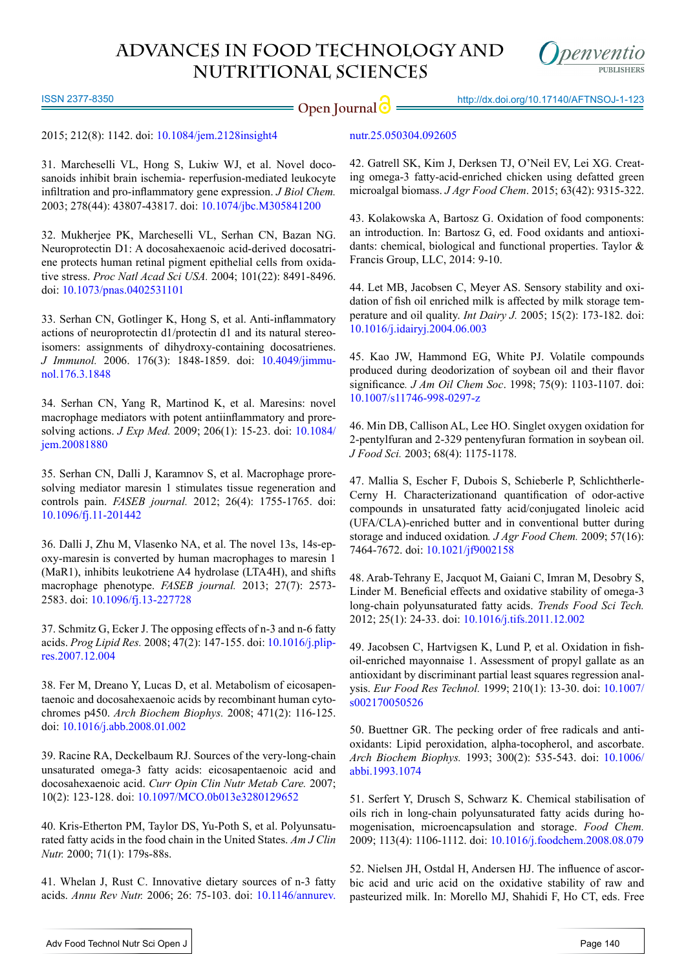ISSN 2377-8350

**Open Journal**  $\bigcirc$  http://dx.doi.org/10.17140/AFTNSOJ-1-123

2015; 212(8): 1142. doi: [10.1084/jem.2128insight4](http://jem.rupress.org/content/212/8/1142)

<span id="page-5-0"></span>31. Marcheselli VL, Hong S, Lukiw WJ, et al. Novel docosanoids inhibit brain ischemia- reperfusion-mediated leukocyte infiltration and pro-inflammatory gene expression. *J Biol Chem.* 2003; 278(44): 43807-43817. doi: [10.1074/jbc.M305841200](http://www.jbc.org/content/278/44/43807.abstract)

32. Mukherjee PK, Marcheselli VL, Serhan CN, Bazan NG. Neuroprotectin D1: A docosahexaenoic acid-derived docosatriene protects human retinal pigment epithelial cells from oxidative stress. *Proc Natl Acad Sci USA.* 2004; 101(22): 8491-8496. doi: [10.1073/pnas.0402531101](http://www.ncbi.nlm.nih.gov/pmc/articles/PMC420421/)

33. Serhan CN, Gotlinger K, Hong S, et al. Anti-inflammatory actions of neuroprotectin d1/protectin d1 and its natural stereoisomers: assignments of dihydroxy-containing docosatrienes. *J Immunol.* 2006. 176(3): 1848-1859. doi: [10.4049/jimmu](http://www.jimmunol.org/content/176/3/1848.long)[nol.176.3.1848](http://www.jimmunol.org/content/176/3/1848.long)

<span id="page-5-1"></span>34. Serhan CN, Yang R, Martinod K, et al. Maresins: novel macrophage mediators with potent antiinflammatory and proresolving actions. *J Exp Med.* 2009; 206(1): 15-23. doi: [10.1084/](http://www.ncbi.nlm.nih.gov/pubmed/19103881) [jem.20081880](http://www.ncbi.nlm.nih.gov/pubmed/19103881)

35. Serhan CN, Dalli J, Karamnov S, et al. Macrophage proresolving mediator maresin 1 stimulates tissue regeneration and controls pain. *FASEB journal.* 2012; 26(4): 1755-1765. doi: [10.1096/fj.11-201442](http://www.ncbi.nlm.nih.gov/pubmed/22253477)

36. Dalli J, Zhu M, Vlasenko NA, et al. The novel 13s, 14s-epoxy-maresin is converted by human macrophages to maresin 1 (MaR1), inhibits leukotriene A4 hydrolase (LTA4H), and shifts macrophage phenotype. *FASEB journal.* 2013; 27(7): 2573- 2583. doi: [10.1096/fj.13-227728](http://www.ncbi.nlm.nih.gov/pubmed/23504711)

<span id="page-5-2"></span>37. Schmitz G, Ecker J. The opposing effects of n-3 and n-6 fatty acids. *Prog Lipid Res.* 2008; 47(2): 147-155. doi: [10.1016/j.plip](http://www.ncbi.nlm.nih.gov/pubmed/18198131)[res.2007.12.004](http://www.ncbi.nlm.nih.gov/pubmed/18198131)

<span id="page-5-3"></span>38. Fer M, Dreano Y, Lucas D, et al. Metabolism of eicosapentaenoic and docosahexaenoic acids by recombinant human cytochromes p450. *Arch Biochem Biophys.* 2008; 471(2): 116-125. doi: [10.1016/j.abb.2008.01.002](http://www.sciencedirect.com/science/article/pii/S0003986108000040)

<span id="page-5-4"></span>39. Racine RA, Deckelbaum RJ. Sources of the very-long-chain unsaturated omega-3 fatty acids: eicosapentaenoic acid and docosahexaenoic acid. *Curr Opin Clin Nutr Metab Care.* 2007; 10(2): 123-128. doi: [10.1097/MCO.0b013e3280129652](http://journals.lww.com/co-clinicalnutrition/Abstract/2007/03000/Sources_of_the_very_long_chain_unsaturated_omega_3.2.aspx%20%0D)

40. Kris-Etherton PM, Taylor DS, Yu-Poth S, et al. Polyunsaturated fatty acids in the food chain in the United States. *Am J Clin Nutr.* 2000; 71(1): 179s-88s.

<span id="page-5-5"></span>41. Whelan J, Rust C. Innovative dietary sources of n-3 fatty acids. *Annu Rev Nutr.* 2006; 26: 75-103. doi: [10.1146/annurev.](http://www.annualreviews.org/doi/abs/10.1146/annurev.nutr.25.050304.092605%3Furl_ver%3DZ39.88-2003%26rfr_dat%3Dcr_pub%253Dpubmed%26rfr_id%3Dori%253Arid%253Acrossref.org%26journalCode%3Dnutr)

[nutr.25.050304.092605](http://www.annualreviews.org/doi/abs/10.1146/annurev.nutr.25.050304.092605%3Furl_ver%3DZ39.88-2003%26rfr_dat%3Dcr_pub%253Dpubmed%26rfr_id%3Dori%253Arid%253Acrossref.org%26journalCode%3Dnutr)

<span id="page-5-6"></span>42. Gatrell SK, Kim J, Derksen TJ, O'Neil EV, Lei XG. Creating omega-3 fatty-acid-enriched chicken using defatted green microalgal biomass. *J Agr Food Chem*. 2015; 63(42): 9315-322.

<span id="page-5-7"></span>43. Kolakowska A, Bartosz G. Oxidation of food components: an introduction. In: Bartosz G, ed. Food oxidants and antioxidants: chemical, biological and functional properties. Taylor & Francis Group, LLC, 2014: 9-10.

<span id="page-5-8"></span>44. Let MB, Jacobsen C, Meyer AS. Sensory stability and oxidation of fish oil enriched milk is affected by milk storage temperature and oil quality. *Int Dairy J.* 2005; 15(2): 173-182. doi: [10.1016/j.idairyj.2004.06.003](http://www.sciencedirect.com/science/article/pii/S0958694604001311)

<span id="page-5-9"></span>45. Kao JW, Hammond EG, White PJ. Volatile compounds produced during deodorization of soybean oil and their flavor significance*. J Am Oil Chem Soc*. 1998; 75(9): 1103-1107. doi: [10.1007/s11746-998-0297-z](http://link.springer.com/article/10.1007%252Fs11746-998-0297-z)

<span id="page-5-10"></span>46. Min DB, Callison AL, Lee HO. Singlet oxygen oxidation for 2-pentylfuran and 2-329 pentenyfuran formation in soybean oil. *J Food Sci.* 2003; 68(4): 1175-1178.

<span id="page-5-11"></span>47. Mallia S, Escher F, Dubois S, Schieberle P, Schlichtherle-Cerny H. Characterizationand quantification of odor-active compounds in unsaturated fatty acid/conjugated linoleic acid (UFA/CLA)-enriched butter and in conventional butter during storage and induced oxidation*. J Agr Food Chem.* 2009; 57(16): 7464-7672. doi: [10.1021/jf9002158](http://www.ncbi.nlm.nih.gov/pubmed/19630425)

<span id="page-5-12"></span>48. Arab-Tehrany E, Jacquot M, Gaiani C, Imran M, Desobry S, Linder M. Beneficial effects and oxidative stability of omega-3 long-chain polyunsaturated fatty acids. *Trends Food Sci Tech.* 2012; 25(1): 24-33. doi: [10.1016/j.tifs.2011.12.002](http://www.sciencedirect.com/science/article/pii/S0924224411002895)

<span id="page-5-13"></span>49. Jacobsen C, Hartvigsen K, Lund P, et al. Oxidation in fishoil-enriched mayonnaise 1. Assessment of propyl gallate as an antioxidant by discriminant partial least squares regression analysis. *Eur Food Res Technol.* 1999; 210(1): 13-30. doi: [10.1007/](http://link.springer.com/article/10.1007%252Fs002170050526) [s002170050526](http://link.springer.com/article/10.1007%252Fs002170050526)

<span id="page-5-14"></span>50. Buettner GR. The pecking order of free radicals and antioxidants: Lipid peroxidation, alpha-tocopherol, and ascorbate. *Arch Biochem Biophys.* 1993; 300(2): 535-543. doi: [10.1006/](http://www.sciencedirect.com/science/article/pii/S000398618371074X) [abbi.1993.1074](http://www.sciencedirect.com/science/article/pii/S000398618371074X)

<span id="page-5-15"></span>51. Serfert Y, Drusch S, Schwarz K. Chemical stabilisation of oils rich in long-chain polyunsaturated fatty acids during homogenisation, microencapsulation and storage. *Food Chem.* 2009; 113(4): 1106-1112. doi: [10.1016/j.foodchem.2008.08.079](http://www.sciencedirect.com/science/article/pii/S0308814608010601) 

<span id="page-5-16"></span>52. Nielsen JH, Ostdal H, Andersen HJ. The influence of ascorbic acid and uric acid on the oxidative stability of raw and pasteurized milk. In: Morello MJ, Shahidi F, Ho CT, eds. Free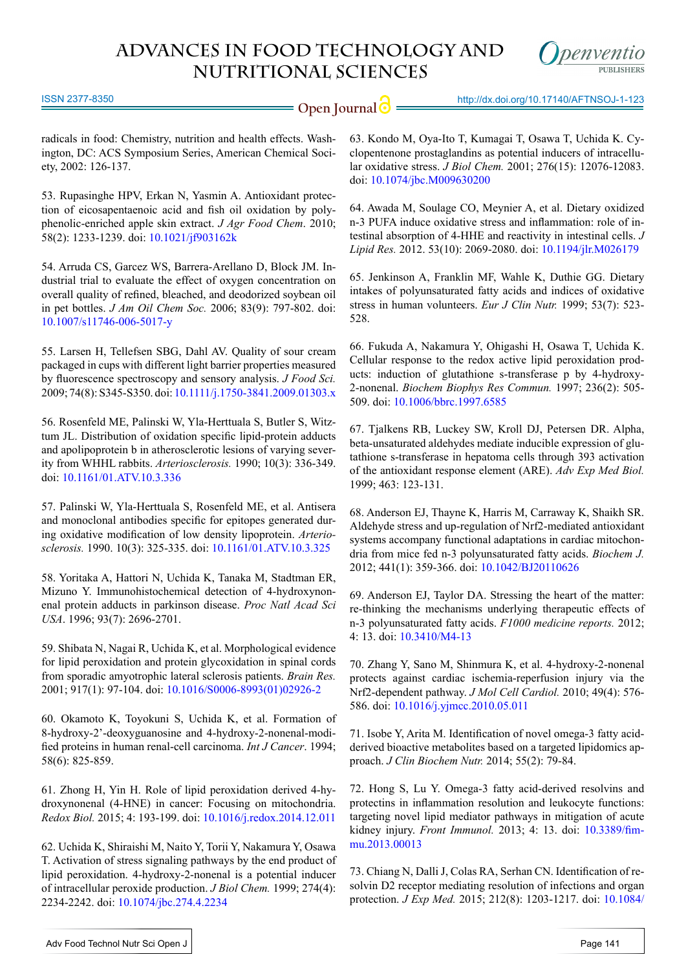

ISSN 2377-8350

**Open Journal**  $\odot$  **http://dx.doi.org/10.17140/AFTNSOJ-1-123** 

radicals in food: Chemistry, nutrition and health effects. Washington, DC: ACS Symposium Series, American Chemical Society, 2002: 126-137.

<span id="page-6-0"></span>53. Rupasinghe HPV, Erkan N, Yasmin A. Antioxidant protection of eicosapentaenoic acid and fish oil oxidation by polyphenolic-enriched apple skin extract. *J Agr Food Chem*. 2010; 58(2): 1233-1239. doi: [10.1021/jf903162k](http://www.ncbi.nlm.nih.gov/pubmed/20000574)

<span id="page-6-1"></span>54. Arruda CS, Garcez WS, Barrera-Arellano D, Block JM. Industrial trial to evaluate the effect of oxygen concentration on overall quality of refined, bleached, and deodorized soybean oil in pet bottles. *J Am Oil Chem Soc.* 2006; 83(9): 797-802. doi: [10.1007/s11746-006-5017-y](http://link.springer.com/article/10.1007%252Fs11746-006-5017-y)

<span id="page-6-2"></span>55. Larsen H, Tellefsen SBG, Dahl AV. Quality of sour cream packaged in cups with different light barrier properties measured by fluorescence spectroscopy and sensory analysis. *J Food Sci.* 2009; 74(8): S345-S350. doi: [10.1111/j.1750-3841.2009.01303.x](http://www.ncbi.nlm.nih.gov/pubmed/19799679)

<span id="page-6-3"></span>56. Rosenfeld ME, Palinski W, Yla-Herttuala S, Butler S, Witztum JL. Distribution of oxidation specific lipid-protein adducts and apolipoprotein b in atherosclerotic lesions of varying severity from WHHL rabbits. *Arteriosclerosis.* 1990; 10(3): 336-349. doi: [10.1161/01.ATV.10.3.336](http://atvb.ahajournals.org/content/10/3/336.long)

57. Palinski W, Yla-Herttuala S, Rosenfeld ME, et al. Antisera and monoclonal antibodies specific for epitopes generated during oxidative modification of low density lipoprotein. *Arteriosclerosis.* 1990. 10(3): 325-335. doi: [10.1161/01.ATV.10.3.325](http://atvb.ahajournals.org/content/10/3/325.long)

<span id="page-6-4"></span>58. Yoritaka A, Hattori N, Uchida K, Tanaka M, Stadtman ER, Mizuno Y. Immunohistochemical detection of 4-hydroxynonenal protein adducts in parkinson disease. *Proc Natl Acad Sci USA*. 1996; 93(7): 2696-2701.

59. Shibata N, Nagai R, Uchida K, et al. Morphological evidence for lipid peroxidation and protein glycoxidation in spinal cords from sporadic amyotrophic lateral sclerosis patients. *Brain Res.* 2001; 917(1): 97-104. doi: [10.1016/S0006-8993\(01\)02926-2](http://www.sciencedirect.com/science/article/pii/S0006899301029262)

<span id="page-6-5"></span>60. Okamoto K, Toyokuni S, Uchida K, et al. Formation of 8-hydroxy-2'-deoxyguanosine and 4-hydroxy-2-nonenal-modified proteins in human renal-cell carcinoma. *Int J Cancer*. 1994; 58(6): 825-859.

61. Zhong H, Yin H. Role of lipid peroxidation derived 4-hydroxynonenal (4-HNE) in cancer: Focusing on mitochondria. *Redox Biol.* 2015; 4: 193-199. doi: [10.1016/j.redox.2014.12.011](http://www.sciencedirect.com/science/article/pii/S2213231714001359)

<span id="page-6-6"></span>62. Uchida K, Shiraishi M, Naito Y, Torii Y, Nakamura Y, Osawa T. Activation of stress signaling pathways by the end product of lipid peroxidation. 4-hydroxy-2-nonenal is a potential inducer of intracellular peroxide production. *J Biol Chem.* 1999; 274(4): 2234-2242. doi: [10.1074/jbc.274.4.2234](http://www.jbc.org/content/274/4/2234.long)

<span id="page-6-7"></span>63. Kondo M, Oya-Ito T, Kumagai T, Osawa T, Uchida K. Cyclopentenone prostaglandins as potential inducers of intracellular oxidative stress. *J Biol Chem.* 2001; 276(15): 12076-12083. doi: [10.1074/jbc.M009630200](http://www.jbc.org/content/276/15/12076.long)

<span id="page-6-8"></span>64. Awada M, Soulage CO, Meynier A, et al. Dietary oxidized n-3 PUFA induce oxidative stress and inflammation: role of intestinal absorption of 4-HHE and reactivity in intestinal cells. *J Lipid Res.* 2012. 53(10): 2069-2080. doi: [10.1194/jlr.M026179](http://www.ncbi.nlm.nih.gov/pubmed/22865918)

<span id="page-6-9"></span>65. Jenkinson A, Franklin MF, Wahle K, Duthie GG. Dietary intakes of polyunsaturated fatty acids and indices of oxidative stress in human volunteers. *Eur J Clin Nutr.* 1999; 53(7): 523- 528.

<span id="page-6-10"></span>66. Fukuda A, Nakamura Y, Ohigashi H, Osawa T, Uchida K. Cellular response to the redox active lipid peroxidation products: induction of glutathione s-transferase p by 4-hydroxy-2-nonenal. *Biochem Biophys Res Commun.* 1997; 236(2): 505- 509. doi: [10.1006/bbrc.1997.6585](http://www.sciencedirect.com/science/article/pii/S0006291X97965852)

<span id="page-6-11"></span>67. Tjalkens RB, Luckey SW, Kroll DJ, Petersen DR. Alpha, beta-unsaturated aldehydes mediate inducible expression of glutathione s-transferase in hepatoma cells through 393 activation of the antioxidant response element (ARE). *Adv Exp Med Biol.* 1999; 463: 123-131.

<span id="page-6-12"></span>68. Anderson EJ, Thayne K, Harris M, Carraway K, Shaikh SR. Aldehyde stress and up-regulation of Nrf2-mediated antioxidant systems accompany functional adaptations in cardiac mitochondria from mice fed n-3 polyunsaturated fatty acids. *Biochem J.* 2012; 441(1): 359-366. doi: [10.1042/BJ20110626](http://www.ncbi.nlm.nih.gov/pubmed/21880016)

<span id="page-6-13"></span>69. Anderson EJ, Taylor DA. Stressing the heart of the matter: re-thinking the mechanisms underlying therapeutic effects of n-3 polyunsaturated fatty acids. *F1000 medicine reports.* 2012; 4: 13. doi: [10.3410/M4-13](http://www.ncbi.nlm.nih.gov/pmc/articles/PMC3391752/)

<span id="page-6-14"></span>70. Zhang Y, Sano M, Shinmura K, et al. 4-hydroxy-2-nonenal protects against cardiac ischemia-reperfusion injury via the Nrf2-dependent pathway. *J Mol Cell Cardiol.* 2010; 49(4): 576- 586. doi: [10.1016/j.yjmcc.2010.05.011](http://www.ncbi.nlm.nih.gov/pubmed/20685357)

<span id="page-6-15"></span>71. Isobe Y, Arita M. Identification of novel omega-3 fatty acidderived bioactive metabolites based on a targeted lipidomics approach. *J Clin Biochem Nutr.* 2014; 55(2): 79-84.

<span id="page-6-16"></span>72. Hong S, Lu Y. Omega-3 fatty acid-derived resolvins and protectins in inflammation resolution and leukocyte functions: targeting novel lipid mediator pathways in mitigation of acute kidney injury. *Front Immunol.* 2013; 4: 13. doi: [10.3389/fim](http://www.ncbi.nlm.nih.gov/pubmed/23386851)[mu.2013.00013](http://www.ncbi.nlm.nih.gov/pubmed/23386851)

<span id="page-6-17"></span>73. Chiang N, Dalli J, Colas RA, Serhan CN. Identification of resolvin D2 receptor mediating resolution of infections and organ protection. *J Exp Med.* 2015; 212(8): 1203-1217. doi: [10.1084/](http://www.ncbi.nlm.nih.gov/pubmed/26195725)